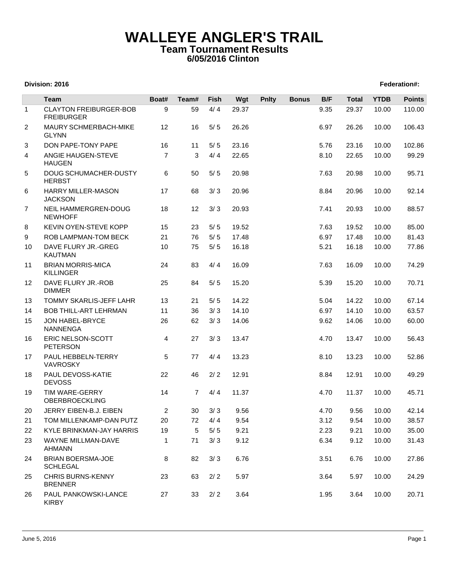## **WALLEYE ANGLER'S TRAIL Team Tournament Results 6/05/2016 Clinton**

## **Division: 2016 Federation#:**

|                | <b>Team</b>                                        | Boat#          | Team#          | Fish           | Wgt   | <b>Pnlty</b> | <b>Bonus</b> | B/F  | <b>Total</b> | <b>YTDB</b> | <b>Points</b> |
|----------------|----------------------------------------------------|----------------|----------------|----------------|-------|--------------|--------------|------|--------------|-------------|---------------|
| $\mathbf{1}$   | <b>CLAYTON FREIBURGER-BOB</b><br><b>FREIBURGER</b> | 9              | 59             | 4/4            | 29.37 |              |              | 9.35 | 29.37        | 10.00       | 110.00        |
| $\overline{2}$ | MAURY SCHMERBACH-MIKE<br><b>GLYNN</b>              | 12             | 16             | $5/5$          | 26.26 |              |              | 6.97 | 26.26        | 10.00       | 106.43        |
| 3              | DON PAPE-TONY PAPE                                 | 16             | 11             | $5/5$          | 23.16 |              |              | 5.76 | 23.16        | 10.00       | 102.86        |
| 4              | ANGIE HAUGEN-STEVE<br><b>HAUGEN</b>                | $\overline{7}$ | 3              | 4/4            | 22.65 |              |              | 8.10 | 22.65        | 10.00       | 99.29         |
| 5              | DOUG SCHUMACHER-DUSTY<br><b>HERBST</b>             | 6              | 50             | $5/5$          | 20.98 |              |              | 7.63 | 20.98        | 10.00       | 95.71         |
| 6              | HARRY MILLER-MASON<br><b>JACKSON</b>               | 17             | 68             | 3/3            | 20.96 |              |              | 8.84 | 20.96        | 10.00       | 92.14         |
| $\overline{7}$ | NEIL HAMMERGREN-DOUG<br><b>NEWHOFF</b>             | 18             | 12             | 3/3            | 20.93 |              |              | 7.41 | 20.93        | 10.00       | 88.57         |
| 8              | KEVIN OYEN-STEVE KOPP                              | 15             | 23             | $5/5$          | 19.52 |              |              | 7.63 | 19.52        | 10.00       | 85.00         |
| 9              | ROB LAMPMAN-TOM BECK                               | 21             | 76             | $5/5$          | 17.48 |              |              | 6.97 | 17.48        | 10.00       | 81.43         |
| 10             | DAVE FLURY JR.-GREG<br><b>KAUTMAN</b>              | 10             | 75             | $5/5$          | 16.18 |              |              | 5.21 | 16.18        | 10.00       | 77.86         |
| 11             | <b>BRIAN MORRIS-MICA</b><br><b>KILLINGER</b>       | 24             | 83             | 4/4            | 16.09 |              |              | 7.63 | 16.09        | 10.00       | 74.29         |
| 12             | DAVE FLURY JR.-ROB<br><b>DIMMER</b>                | 25             | 84             | $5/5$          | 15.20 |              |              | 5.39 | 15.20        | 10.00       | 70.71         |
| 13             | TOMMY SKARLIS-JEFF LAHR                            | 13             | 21             | $5/5$          | 14.22 |              |              | 5.04 | 14.22        | 10.00       | 67.14         |
| 14             | <b>BOB THILL-ART LEHRMAN</b>                       | 11             | 36             | 3/3            | 14.10 |              |              | 6.97 | 14.10        | 10.00       | 63.57         |
| 15             | JON HABEL-BRYCE<br><b>NANNENGA</b>                 | 26             | 62             | 3/3            | 14.06 |              |              | 9.62 | 14.06        | 10.00       | 60.00         |
| 16             | ERIC NELSON-SCOTT<br><b>PETERSON</b>               | 4              | 27             | 3/3            | 13.47 |              |              | 4.70 | 13.47        | 10.00       | 56.43         |
| 17             | PAUL HEBBELN-TERRY<br><b>VAVROSKY</b>              | 5              | 77             | 4/4            | 13.23 |              |              | 8.10 | 13.23        | 10.00       | 52.86         |
| 18             | PAUL DEVOSS-KATIE<br><b>DEVOSS</b>                 | 22             | 46             | $2/2$          | 12.91 |              |              | 8.84 | 12.91        | 10.00       | 49.29         |
| 19             | TIM WARE-GERRY<br>OBERBROECKLING                   | 14             | $\overline{7}$ | 4/4            | 11.37 |              |              | 4.70 | 11.37        | 10.00       | 45.71         |
| 20             | JERRY EIBEN-B.J. EIBEN                             | $\overline{c}$ | 30             | 3/3            | 9.56  |              |              | 4.70 | 9.56         | 10.00       | 42.14         |
| 21             | TOM MILLENKAMP-DAN PUTZ                            | 20             |                | $72 \quad 4/4$ | 9.54  |              |              | 3.12 | 9.54         | 10.00       | 38.57         |
| 22             | KYLE BRINKMAN-JAY HARRIS                           | 19             | 5              | 5/5            | 9.21  |              |              | 2.23 | 9.21         | 10.00       | 35.00         |
| 23             | WAYNE MILLMAN-DAVE<br>AHMANN                       | 1              | 71             | 3/3            | 9.12  |              |              | 6.34 | 9.12         | 10.00       | 31.43         |
| 24             | <b>BRIAN BOERSMA-JOE</b><br><b>SCHLEGAL</b>        | 8              | 82             | 3/3            | 6.76  |              |              | 3.51 | 6.76         | 10.00       | 27.86         |
| 25             | <b>CHRIS BURNS-KENNY</b><br><b>BRENNER</b>         | 23             | 63             | $2/2$          | 5.97  |              |              | 3.64 | 5.97         | 10.00       | 24.29         |
| 26             | PAUL PANKOWSKI-LANCE<br><b>KIRBY</b>               | 27             | 33             | 2/2            | 3.64  |              |              | 1.95 | 3.64         | 10.00       | 20.71         |